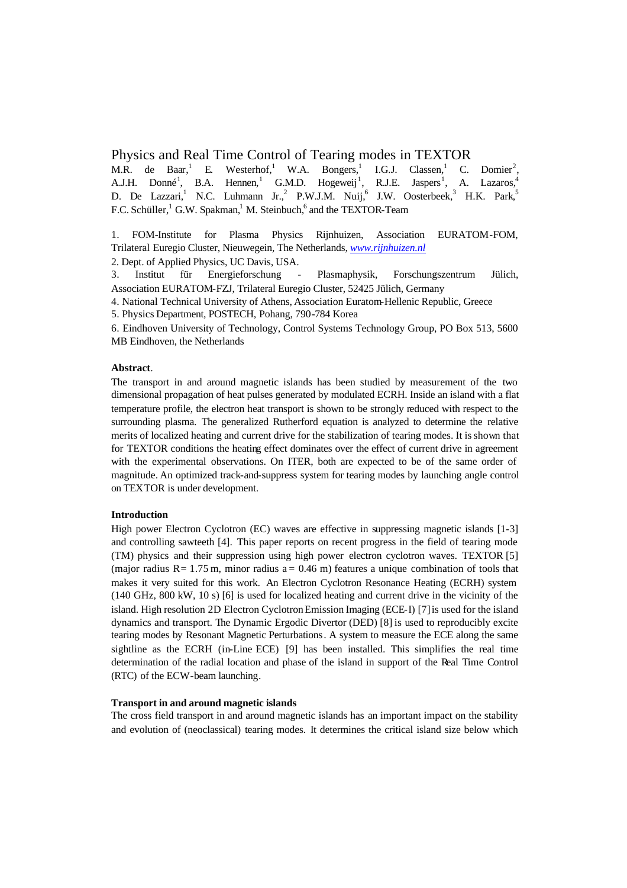## Physics and Real Time Control of Tearing modes in TEXTOR

M.R. de Baar, $<sup>1</sup>$ </sup> E. Westerhof,<sup>1</sup> W.A. Bongers,<sup>1</sup> I.G.J. Classen, <sup>1</sup> C. Domier<sup>2</sup>, A.J.H. Donné<sup>1</sup>, B.A. Hennen,<sup>1</sup> G.M.D. Hogeweij<sup>1</sup>, R.J.E. Jaspers<sup>1</sup>, A. Lazaros,<sup>4</sup> D. De Lazzari,<sup>1</sup> N.C. Luhmann Jr.,<sup>2</sup> P.W.J.M. Nuij,<sup>6</sup> J.W. Oosterbeek,<sup>3</sup> H.K. Park,<sup>5</sup> F.C. Schüller, <sup>1</sup> G.W. Spakman,<sup>1</sup> M. Steinbuch,<sup>6</sup> and the TEXTOR-Team

1. FOM-Institute for Plasma Physics Rijnhuizen, Association EURATOM-FOM, Trilateral Euregio Cluster, Nieuwegein, The Netherlands, *www.rijnhuizen.nl*

2. Dept. of Applied Physics, UC Davis, USA.

3. Institut für Energieforschung - Plasmaphysik, Forschungszentrum Jülich, Association EURATOM-FZJ, Trilateral Euregio Cluster, 52425 Jülich, Germany

4. National Technical University of Athens, Association Euratom-Hellenic Republic, Greece

5. Physics Department, POSTECH, Pohang, 790-784 Korea

6. Eindhoven University of Technology, Control Systems Technology Group, PO Box 513, 5600 MB Eindhoven, the Netherlands

# **Abstract**.

The transport in and around magnetic islands has been studied by measurement of the two dimensional propagation of heat pulses generated by modulated ECRH. Inside an island with a flat temperature profile, the electron heat transport is shown to be strongly reduced with respect to the surrounding plasma. The generalized Rutherford equation is analyzed to determine the relative merits of localized heating and current drive for the stabilization of tearing modes. It is shown that for TEXTOR conditions the heating effect dominates over the effect of current drive in agreement with the experimental observations. On ITER, both are expected to be of the same order of magnitude. An optimized track-and-suppress system for tearing modes by launching angle control on TEXTOR is under development.

### **Introduction**

High power Electron Cyclotron (EC) waves are effective in suppressing magnetic islands [1-3] and controlling sawteeth [4]. This paper reports on recent progress in the field of tearing mode (TM) physics and their suppression using high power electron cyclotron waves. TEXTOR [5] (major radius  $R = 1.75$  m, minor radius  $a = 0.46$  m) features a unique combination of tools that makes it very suited for this work. An Electron Cyclotron Resonance Heating (ECRH) system (140 GHz, 800 kW, 10 s) [6] is used for localized heating and current drive in the vicinity of the island. High resolution 2D Electron Cyclotron Emission Imaging (ECE-I) [7] is used for the island dynamics and transport. The Dynamic Ergodic Divertor (DED) [8] is used to reproducibly excite tearing modes by Resonant Magnetic Perturbations. A system to measure the ECE along the same sightline as the ECRH (in-Line ECE) [9] has been installed. This simplifies the real time determination of the radial location and phase of the island in support of the Real Time Control (RTC) of the ECW-beam launching.

## **Transport in and around magnetic islands**

The cross field transport in and around magnetic islands has an important impact on the stability and evolution of (neoclassical) tearing modes. It determines the critical island size below which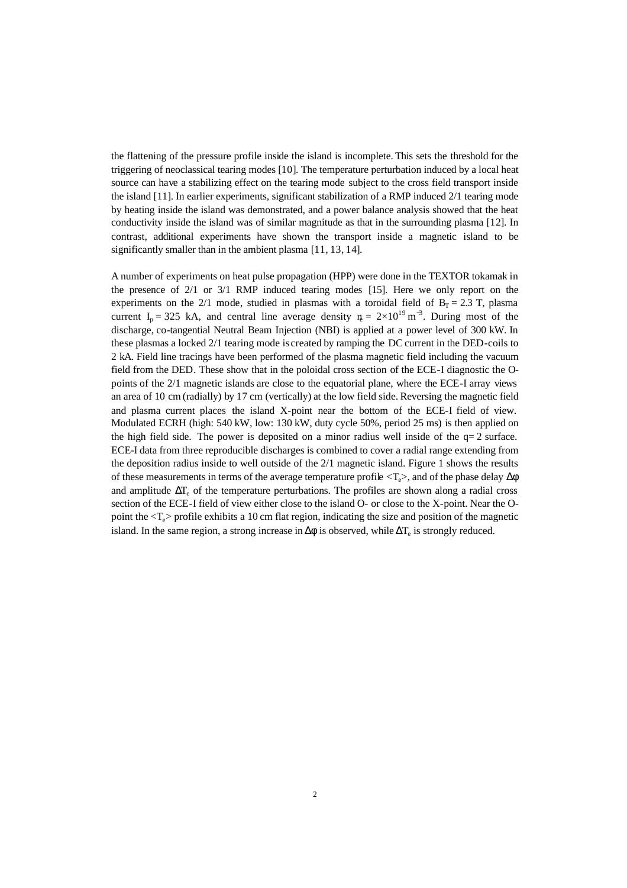the flattening of the pressure profile inside the island is incomplete. This sets the threshold for the triggering of neoclassical tearing modes [10]. The temperature perturbation induced by a local heat source can have a stabilizing effect on the tearing mode subject to the cross field transport inside the island [11]. In earlier experiments, significant stabilization of a RMP induced 2/1 tearing mode by heating inside the island was demonstrated, and a power balance analysis showed that the heat conductivity inside the island was of similar magnitude as that in the surrounding plasma [12]. In contrast, additional experiments have shown the transport inside a magnetic island to be significantly smaller than in the ambient plasma [11, 13, 14].

A number of experiments on heat pulse propagation (HPP) were done in the TEXTOR tokamak in the presence of 2/1 or 3/1 RMP induced tearing modes [15]. Here we only report on the experiments on the 2/1 mode, studied in plasmas with a toroidal field of  $B_T = 2.3$  T, plasma current I<sub>p</sub> = 325 kA, and central line average density  $n = 2 \times 10^{19}$  m<sup>-3</sup>. During most of the discharge, co-tangential Neutral Beam Injection (NBI) is applied at a power level of 300 kW. In these plasmas a locked 2/1 tearing mode is created by ramping the DC current in the DED-coils to 2 kA. Field line tracings have been performed of the plasma magnetic field including the vacuum field from the DED. These show that in the poloidal cross section of the ECE-I diagnostic the Opoints of the 2/1 magnetic islands are close to the equatorial plane, where the ECE-I array views an area of 10 cm (radially) by 17 cm (vertically) at the low field side. Reversing the magnetic field and plasma current places the island X-point near the bottom of the ECE-I field of view. Modulated ECRH (high: 540 kW, low: 130 kW, duty cycle 50%, period 25 ms) is then applied on the high field side. The power is deposited on a minor radius well inside of the  $q=2$  surface. ECE-I data from three reproducible discharges is combined to cover a radial range extending from the deposition radius inside to well outside of the 2/1 magnetic island. Figure 1 shows the results of these measurements in terms of the average temperature profile  $\langle T_e \rangle$ , and of the phase delay  $\Delta \phi$ and amplitude  $\Delta T_e$  of the temperature perturbations. The profiles are shown along a radial cross section of the ECE-I field of view either close to the island O- or close to the X-point. Near the Opoint the  $\langle T_e \rangle$  profile exhibits a 10 cm flat region, indicating the size and position of the magnetic island. In the same region, a strong increase in  $\Delta\phi$  is observed, while  $\Delta T_e$  is strongly reduced.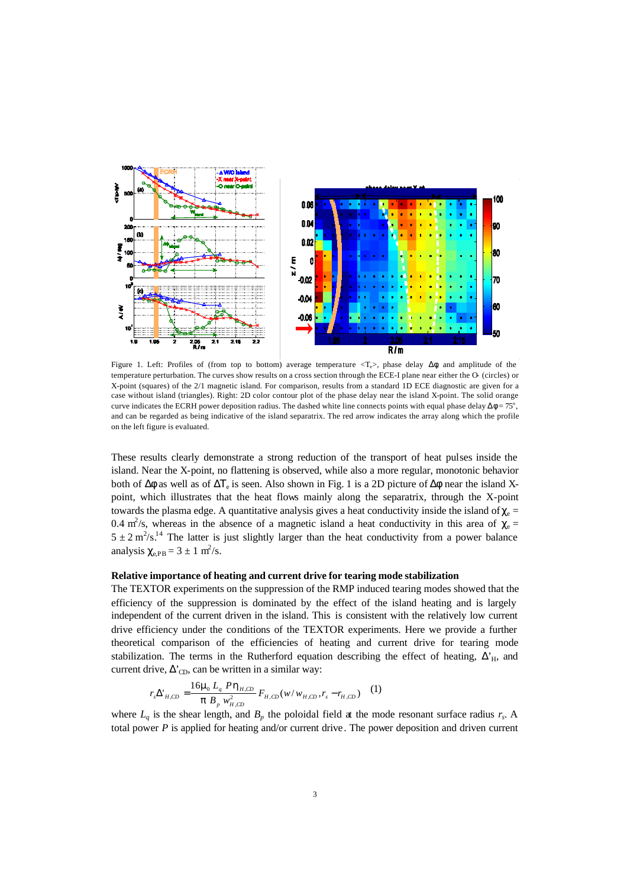

Figure 1. Left: Profiles of (from top to bottom) average temperature  $\langle T_e \rangle$ , phase delay  $\Delta \phi$ , and amplitude of the temperature perturbation. The curves show results on a cross section through the ECE-I plane near either the O- (circles) or X-point (squares) of the 2/1 magnetic island. For comparison, results from a standard 1D ECE diagnostic are given for a case without island (triangles). Right: 2D color contour plot of the phase delay near the island X-point. The solid orange curve indicates the ECRH power deposition radius. The dashed white line connects points with equal phase delay  $\Delta \phi = 75^\circ$ , and can be regarded as being indicative of the island separatrix. The red arrow indicates the array along which the profile on the left figure is evaluated.

These results clearly demonstrate a strong reduction of the transport of heat pulses inside the island. Near the X-point, no flattening is observed, while also a more regular, monotonic behavior both of  $\Delta\phi$  as well as of  $\Delta T_e$  is seen. Also shown in Fig. 1 is a 2D picture of  $\Delta\phi$  near the island Xpoint, which illustrates that the heat flows mainly along the separatrix, through the X-point towards the plasma edge. A quantitative analysis gives a heat conductivity inside the island of  $\chi_e$  = 0.4 m<sup>2</sup>/s, whereas in the absence of a magnetic island a heat conductivity in this area of  $\chi$ <sub>e</sub> =  $5 \pm 2$  m<sup>2</sup>/s<sup>14</sup> The latter is just slightly larger than the heat conductivity from a power balance analysis  $\chi_{e,PB} = 3 \pm 1 \text{ m}^2/\text{s}$ .

## **Relative importance of heating and current drive for tearing mode stabilization**

The TEXTOR experiments on the suppression of the RMP induced tearing modes showed that the efficiency of the suppression is dominated by the effect of the island heating and is largely independent of the current driven in the island. This is consistent with the relatively low current drive efficiency under the conditions of the TEXTOR experiments. Here we provide a further theoretical comparison of the efficiencies of heating and current drive for tearing mode stabilization. The terms in the Rutherford equation describing the effect of heating,  $\Delta_H$ , and current drive,  $\Delta_{CD}$ , can be written in a similar way:

$$
r_s \Delta_{H,CD}^{\prime} = \frac{16m_0 L_q P h_{H,CD}}{p B_p w_{H,CD}^2} F_{H,CD}(w/w_{H,CD}, r_s - r_{H,CD})
$$
 (1)

where  $L_q$  is the shear length, and  $B_p$  the poloidal field at the mode resonant surface radius  $r_s$ . A total power *P* is applied for heating and/or current drive. The power deposition and driven current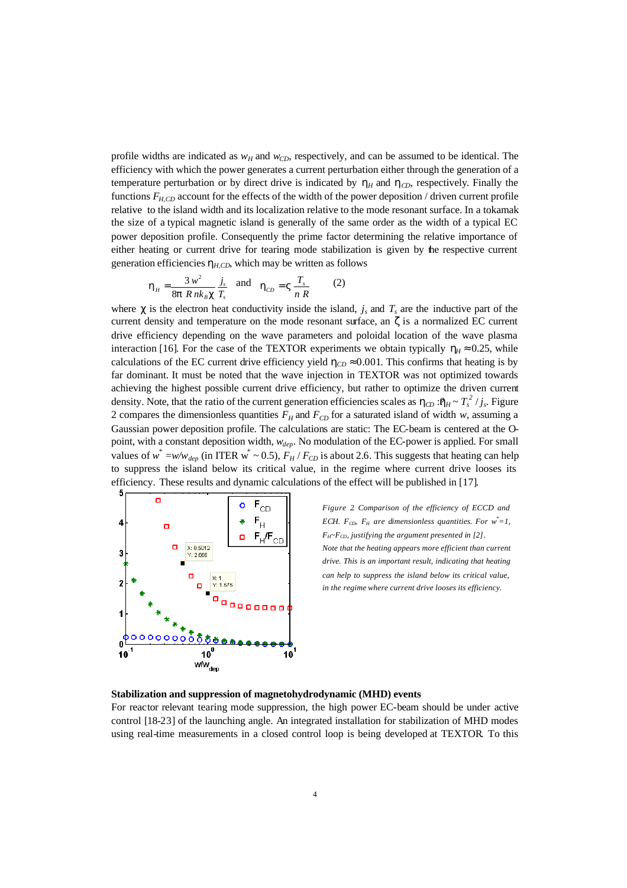profile widths are indicated as  $w_H$  and  $w_{CD}$ , respectively, and can be assumed to be identical. The efficiency with which the power generates a current perturbation either through the generation of a temperature perturbation or by direct drive is indicated by  $h$ <sup>*H*</sup> and  $h$ <sub>*CD*</sub>, respectively. Finally the functions  $F_{HCD}$  account for the effects of the width of the power deposition / driven current profile relative to the island width and its localization relative to the mode resonant surface. In a tokamak the size of a typical magnetic island is generally of the same order as the width of a typical EC power deposition profile. Consequently the prime factor determining the relative importance of either heating or current drive for tearing mode stabilization is given by the respective current generation efficiencies  $h_{H,CD}$ , which may be written as follows

$$
\mathbf{h}_{H} = \frac{3 \, w^2}{8 \mathbf{p} \, R \, n k_B \mathbf{c}} \frac{j_s}{T_s} \quad \text{and} \quad \mathbf{h}_{CD} = \mathbf{V} \frac{T_s}{n \, R} \tag{2}
$$

where  $\chi$  is the electron heat conductivity inside the island,  $j_s$  and  $T_s$  are the inductive part of the current density and temperature on the mode resonant surface, an *z* is a normalized EC current drive efficiency depending on the wave parameters and poloidal location of the wave plasma interaction [16]. For the case of the TEXTOR experiments we obtain typically  $h$ <sup> $\mu$ </sup> ≈ 0.25, while calculations of the EC current drive efficiency yield  $h_{CD} \approx 0.001$ . This confirms that heating is by far dominant. It must be noted that the wave injection in TEXTOR was not optimized towards achieving the highest possible current drive efficiency, but rather to optimize the driven current density. Note, that the ratio of the current generation efficiencies scales as  $h_{CD}$  : $h_H \sim T_s^2 / j_s$ . Figure 2 compares the dimensionless quantities  $F_H$  and  $F_{CD}$  for a saturated island of width *w*, assuming a Gaussian power deposition profile. The calculations are static: The EC-beam is centered at the Opoint, with a constant deposition width, *wdep*. No modulation of the EC-power is applied. For small values of  $w^* = w/w_{dep}$  (in ITER  $w^* \sim 0.5$ ),  $F_H / F_{CD}$  is about 2.6. This suggests that heating can help to suppress the island below its critical value, in the regime where current drive looses its efficiency. These results and dynamic calculations of the effect will be published in [17].



*Figure 2. Comparison of the efficiency of ECCD and ECH.*  $F_{CD}$ ,  $F_H$  are dimensionless quantities. For  $w^* = 1$ , *FH~FCD, justifying the argument presented in [2]. Note that the heating appears more efficient than current drive. This is an important result, indicating that heating can help to suppress the island below its critical value, in the regime where current drive looses its efficiency.*

#### **Stabilization and suppression of magnetohydrodynamic (MHD) events**

For reactor relevant tearing mode suppression, the high power EC-beam should be under active control [18-23] of the launching angle. An integrated installation for stabilization of MHD modes using real-time measurements in a closed control loop is being developed at TEXTOR. To this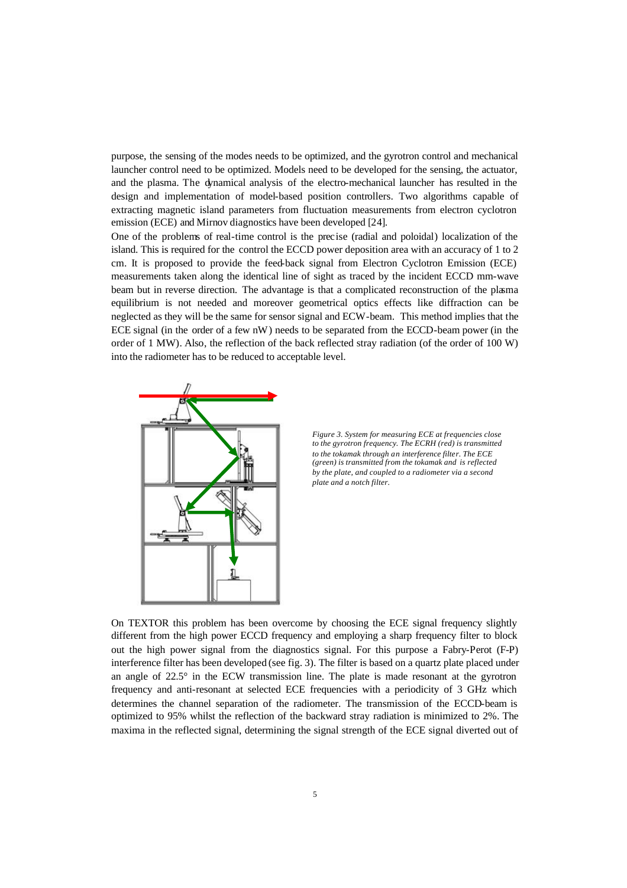purpose, the sensing of the modes needs to be optimized, and the gyrotron control and mechanical launcher control need to be optimized. Models need to be developed for the sensing, the actuator, and the plasma. The dynamical analysis of the electro-mechanical launcher has resulted in the design and implementation of model-based position controllers. Two algorithms capable of extracting magnetic island parameters from fluctuation measurements from electron cyclotron emission (ECE) and Mirnov diagnostics have been developed [24].

One of the problems of real-time control is the precise (radial and poloidal) localization of the island. This is required for the control the ECCD power deposition area with an accuracy of 1 to 2 cm. It is proposed to provide the feed-back signal from Electron Cyclotron Emission (ECE) measurements taken along the identical line of sight as traced by the incident ECCD mm-wave beam but in reverse direction. The advantage is that a complicated reconstruction of the plasma equilibrium is not needed and moreover geometrical optics effects like diffraction can be neglected as they will be the same for sensor signal and ECW-beam. This method implies that the ECE signal (in the order of a few nW) needs to be separated from the ECCD-beam power (in the order of 1 MW). Also, the reflection of the back reflected stray radiation (of the order of 100 W) into the radiometer has to be reduced to acceptable level.



*Figure 3. System for measuring ECE at frequencies close to the gyrotron frequency. The ECRH (red) is transmitted to the tokamak through an interference filter. The ECE (green) is transmitted from the tokamak and is reflected by the plate, and coupled to a radiometer via a second plate and a notch filter.*

On TEXTOR this problem has been overcome by choosing the ECE signal frequency slightly different from the high power ECCD frequency and employing a sharp frequency filter to block out the high power signal from the diagnostics signal. For this purpose a Fabry-Perot (F-P) interference filter has been developed (see fig. 3). The filter is based on a quartz plate placed under an angle of 22.5° in the ECW transmission line. The plate is made resonant at the gyrotron frequency and anti-resonant at selected ECE frequencies with a periodicity of 3 GHz which determines the channel separation of the radiometer. The transmission of the ECCD-beam is optimized to 95% whilst the reflection of the backward stray radiation is minimized to 2%. The maxima in the reflected signal, determining the signal strength of the ECE signal diverted out of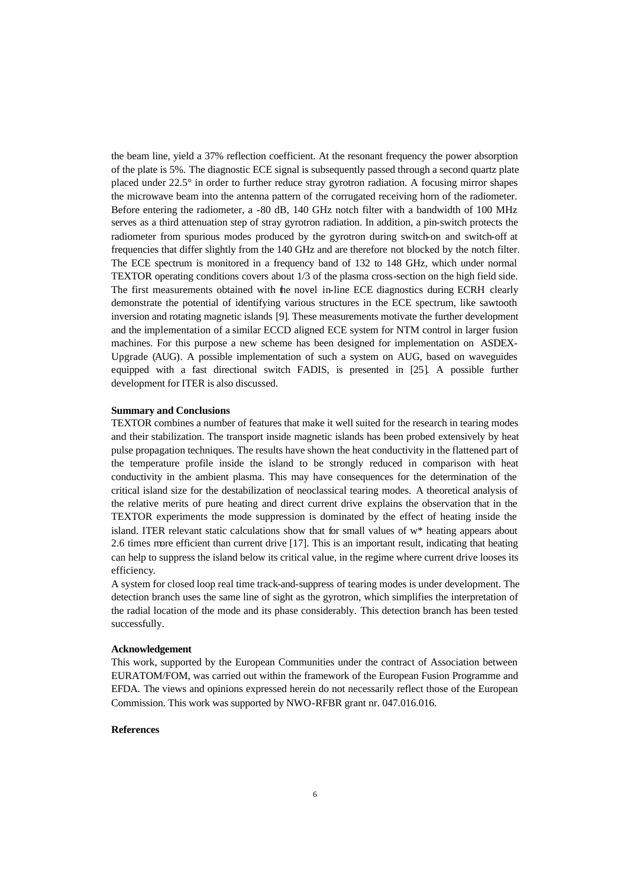the beam line, yield a 37% reflection coefficient. At the resonant frequency the power absorption of the plate is 5%. The diagnostic ECE signal is subsequently passed through a second quartz plate placed under 22.5° in order to further reduce stray gyrotron radiation. A focusing mirror shapes the microwave beam into the antenna pattern of the corrugated receiving horn of the radiometer. Before entering the radiometer, a -80 dB, 140 GHz notch filter with a bandwidth of 100 MHz serves as a third attenuation step of stray gyrotron radiation. In addition, a pin-switch protects the radiometer from spurious modes produced by the gyrotron during switch-on and switch-off at frequencies that differ slightly from the 140 GHz and are therefore not blocked by the notch filter. The ECE spectrum is monitored in a frequency band of 132 to 148 GHz, which under normal TEXTOR operating conditions covers about 1/3 of the plasma cross-section on the high field side. The first measurements obtained with the novel in-line ECE diagnostics during ECRH clearly demonstrate the potential of identifying various structures in the ECE spectrum, like sawtooth inversion and rotating magnetic islands [9]. These measurements motivate the further development and the implementation of a similar ECCD aligned ECE system for NTM control in larger fusion machines. For this purpose a new scheme has been designed for implementation on ASDEX-Upgrade (AUG). A possible implementation of such a system on AUG, based on waveguides equipped with a fast directional switch FADIS, is presented in [25]. A possible further development for ITER is also discussed.

#### **Summary and Conclusions**

TEXTOR combines a number of features that make it well suited for the research in tearing modes and their stabilization. The transport inside magnetic islands has been probed extensively by heat pulse propagation techniques. The results have shown the heat conductivity in the flattened part of the temperature profile inside the island to be strongly reduced in comparison with heat conductivity in the ambient plasma. This may have consequences for the determination of the critical island size for the destabilization of neoclassical tearing modes. A theoretical analysis of the relative merits of pure heating and direct current drive explains the observation that in the TEXTOR experiments the mode suppression is dominated by the effect of heating inside the island. ITER relevant static calculations show that for small values of w\* heating appears about 2.6 times more efficient than current drive [17]. This is an important result, indicating that heating can help to suppress the island below its critical value, in the regime where current drive looses its efficiency.

A system for closed loop real time track-and-suppress of tearing modes is under development. The detection branch uses the same line of sight as the gyrotron, which simplifies the interpretation of the radial location of the mode and its phase considerably. This detection branch has been tested successfully.

### **Acknowledgement**

This work, supported by the European Communities under the contract of Association between EURATOM/FOM, was carried out within the framework of the European Fusion Programme and EFDA. The views and opinions expressed herein do not necessarily reflect those of the European Commission. This work was supported by NWO-RFBR grant nr. 047.016.016.

## **References**